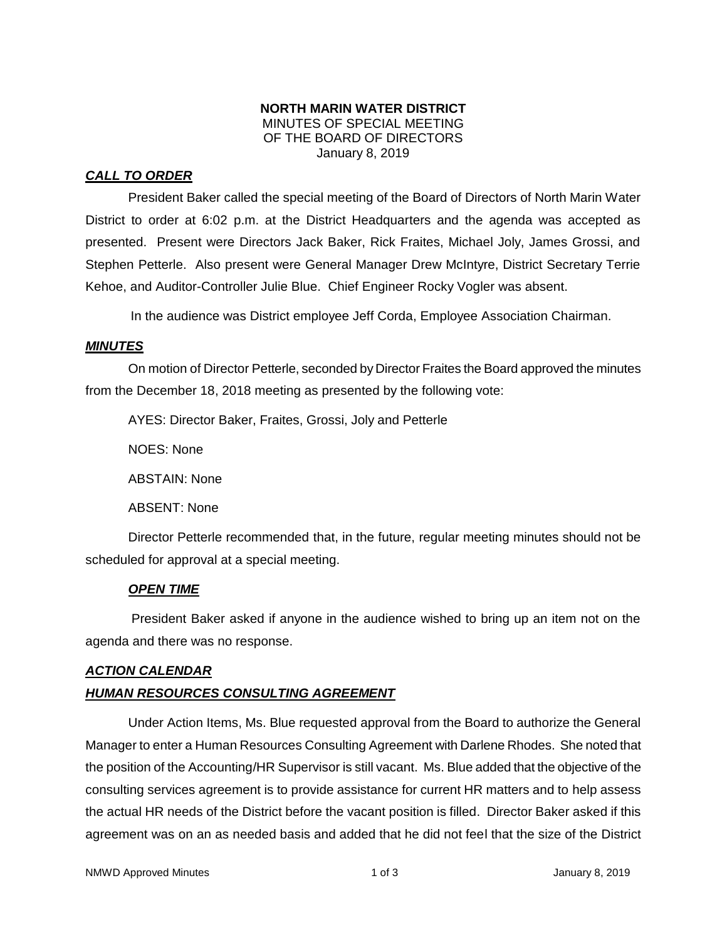#### **NORTH MARIN WATER DISTRICT** MINUTES OF SPECIAL MEETING OF THE BOARD OF DIRECTORS January 8, 2019

# *CALL TO ORDER*

President Baker called the special meeting of the Board of Directors of North Marin Water District to order at 6:02 p.m. at the District Headquarters and the agenda was accepted as presented. Present were Directors Jack Baker, Rick Fraites, Michael Joly, James Grossi, and Stephen Petterle. Also present were General Manager Drew McIntyre, District Secretary Terrie Kehoe, and Auditor-Controller Julie Blue. Chief Engineer Rocky Vogler was absent.

In the audience was District employee Jeff Corda, Employee Association Chairman.

#### *MINUTES*

On motion of Director Petterle, seconded by Director Fraites the Board approved the minutes from the December 18, 2018 meeting as presented by the following vote:

AYES: Director Baker, Fraites, Grossi, Joly and Petterle

NOES: None

ABSTAIN: None

ABSENT: None

Director Petterle recommended that, in the future, regular meeting minutes should not be scheduled for approval at a special meeting.

# *OPEN TIME*

President Baker asked if anyone in the audience wished to bring up an item not on the agenda and there was no response.

# *ACTION CALENDAR*

# *HUMAN RESOURCES CONSULTING AGREEMENT*

Under Action Items, Ms. Blue requested approval from the Board to authorize the General Manager to enter a Human Resources Consulting Agreement with Darlene Rhodes. She noted that the position of the Accounting/HR Supervisor is still vacant. Ms. Blue added that the objective of the consulting services agreement is to provide assistance for current HR matters and to help assess the actual HR needs of the District before the vacant position is filled. Director Baker asked if this agreement was on an as needed basis and added that he did not feel that the size of the District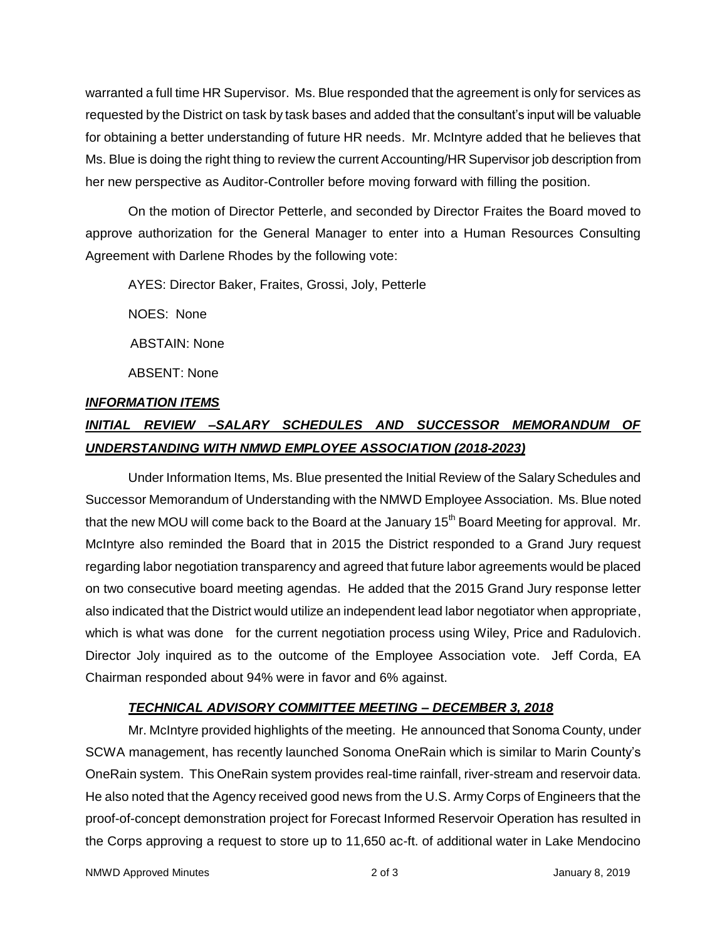warranted a full time HR Supervisor. Ms. Blue responded that the agreement is only for services as requested by the District on task by task bases and added that the consultant's input will be valuable for obtaining a better understanding of future HR needs. Mr. McIntyre added that he believes that Ms. Blue is doing the right thing to review the current Accounting/HR Supervisor job description from her new perspective as Auditor-Controller before moving forward with filling the position.

On the motion of Director Petterle, and seconded by Director Fraites the Board moved to approve authorization for the General Manager to enter into a Human Resources Consulting Agreement with Darlene Rhodes by the following vote:

AYES: Director Baker, Fraites, Grossi, Joly, Petterle

NOES: None

ABSTAIN: None

ABSENT: None

#### *INFORMATION ITEMS*

# *INITIAL REVIEW –SALARY SCHEDULES AND SUCCESSOR MEMORANDUM OF UNDERSTANDING WITH NMWD EMPLOYEE ASSOCIATION (2018-2023)*

Under Information Items, Ms. Blue presented the Initial Review of the Salary Schedules and Successor Memorandum of Understanding with the NMWD Employee Association. Ms. Blue noted that the new MOU will come back to the Board at the January 15<sup>th</sup> Board Meeting for approval. Mr. McIntyre also reminded the Board that in 2015 the District responded to a Grand Jury request regarding labor negotiation transparency and agreed that future labor agreements would be placed on two consecutive board meeting agendas. He added that the 2015 Grand Jury response letter also indicated that the District would utilize an independent lead labor negotiator when appropriate, which is what was done for the current negotiation process using Wiley, Price and Radulovich. Director Joly inquired as to the outcome of the Employee Association vote. Jeff Corda, EA Chairman responded about 94% were in favor and 6% against.

# *TECHNICAL ADVISORY COMMITTEE MEETING – DECEMBER 3, 2018*

Mr. McIntyre provided highlights of the meeting. He announced that Sonoma County, under SCWA management, has recently launched Sonoma OneRain which is similar to Marin County's OneRain system. This OneRain system provides real-time rainfall, river-stream and reservoir data. He also noted that the Agency received good news from the U.S. Army Corps of Engineers that the proof-of-concept demonstration project for Forecast Informed Reservoir Operation has resulted in the Corps approving a request to store up to 11,650 ac-ft. of additional water in Lake Mendocino